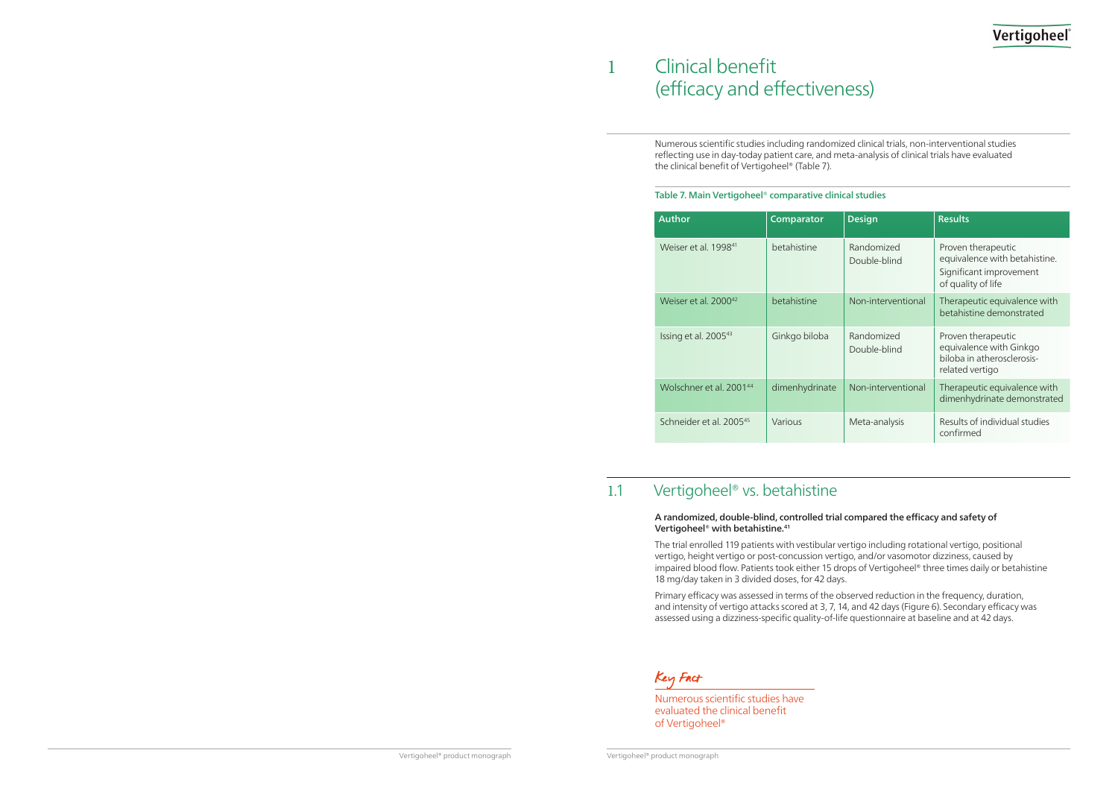## Vertigoheel

Numerous scientific studies have evaluated the clinical benefit of Vertigoheel®

## Clinical benefit (efficacy and effectiveness)

 $\mathbf{1}$ 

Numerous scientific studies including randomized clinical trials, non-interventional studies reflecting use in day-today patient care, and meta-analysis of clinical trials have evaluated the clinical benefit of Vertigoheel® (Table 7).

#### Table 7. Main Vertigoheel® comparative clinical studies

| <b>Author</b>                       | <b>Comparator</b> | <b>Design</b>              | <b>Results</b>                                                                                       |
|-------------------------------------|-------------------|----------------------------|------------------------------------------------------------------------------------------------------|
| Weiser et al. 1998 <sup>41</sup>    | betahistine       | Randomized<br>Double-blind | Proven therapeutic<br>equivalence with betahistine.<br>Significant improvement<br>of quality of life |
| Weiser et al. 2000 <sup>42</sup>    | betahistine       | Non-interventional         | Therapeutic equivalence with<br>betahistine demonstrated                                             |
| Issing et al. 2005 <sup>43</sup>    | Ginkgo biloba     | Randomized<br>Double-blind | Proven therapeutic<br>equivalence with Ginkgo<br>biloba in atherosclerosis-<br>related vertigo       |
| Wolschner et al. 2001 <sup>44</sup> | dimenhydrinate    | Non-interventional         | Therapeutic equivalence with<br>dimenhydrinate demonstrated                                          |
| Schneider et al. 2005 <sup>45</sup> | Various           | Meta-analysis              | Results of individual studies<br>confirmed                                                           |

### 1.1 Vertigoheel<sup>®</sup> vs. betahistine

### A randomized, double-blind, controlled trial compared the efficacy and safety of Vertigoheel® with betahistine.41

The trial enrolled 119 patients with vestibular vertigo including rotational vertigo, positional vertigo, height vertigo or post-concussion vertigo, and/or vasomotor dizziness, caused by impaired blood flow. Patients took either 15 drops of Vertigoheel® three times daily or betahistine 18 mg/day taken in 3 divided doses, for 42 days.

Primary efficacy was assessed in terms of the observed reduction in the frequency, duration, and intensity of vertigo attacks scored at 3, 7, 14, and 42 days (Figure 6). Secondary efficacy was assessed using a dizziness-specific quality-of-life questionnaire at baseline and at 42 days.

Key Fact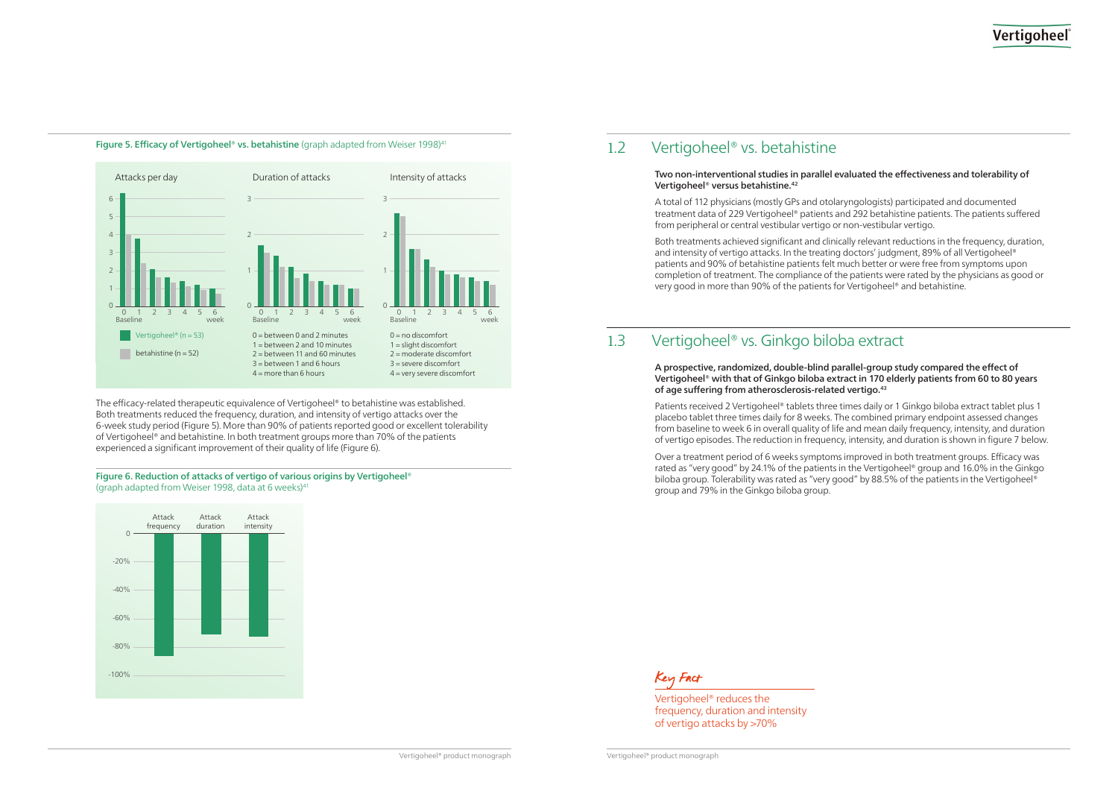Vertigoheel® product monograph Vertigoheel® product monograph

## Vertigoheel

Vertigoheel® reduces the frequency, duration and intensity of vertigo attacks by >70%



Figure 5. Efficacy of Vertigoheel® vs. betahistine (graph adapted from Weiser 1998)<sup>41</sup>

#### The efficacy-related therapeutic equivalence of Vertigoheel® to betahistine was established. Both treatments reduced the frequency, duration, and intensity of vertigo attacks over the 6-week study period (Figure 5). More than 90% of patients reported good or excellent tolerability of Vertigoheel® and betahistine. In both treatment groups more than 70% of the patients experienced a significant improvement of their quality of life (Figure 6).

#### Figure 6. Reduction of attacks of vertigo of various origins by Vertigoheel® (graph adapted from Weiser 1998, data at 6 weeks)<sup>41</sup>



### 1.2 Vertigoheel<sup>®</sup> vs. betahistine

#### Two non-interventional studies in parallel evaluated the effectiveness and tolerability of Vertigoheel® versus betahistine.42

A total of 112 physicians (mostly GPs and otolaryngologists) participated and documented treatment data of 229 Vertigoheel® patients and 292 betahistine patients. The patients suffered from peripheral or central vestibular vertigo or non-vestibular vertigo.

Both treatments achieved significant and clinically relevant reductions in the frequency, duration, and intensity of vertigo attacks. In the treating doctors' judgment, 89% of all Vertigoheel® patients and 90% of betahistine patients felt much better or were free from symptoms upon completion of treatment. The compliance of the patients were rated by the physicians as good or very good in more than 90% of the patients for Vertigoheel® and betahistine.

### 1.3 Vertigoheel<sup>®</sup> vs. Ginkgo biloba extract

A prospective, randomized, double-blind parallel-group study compared the effect of of age suffering from atherosclerosis-related vertigo.43

# Vertigoheel® with that of Ginkgo biloba extract in 170 elderly patients from 60 to 80 years

Patients received 2 Vertigoheel® tablets three times daily or 1 Ginkgo biloba extract tablet plus 1 placebo tablet three times daily for 8 weeks. The combined primary endpoint assessed changes from baseline to week 6 in overall quality of life and mean daily frequency, intensity, and duration of vertigo episodes. The reduction in frequency, intensity, and duration is shown in figure 7 below.

Over a treatment period of 6 weeks symptoms improved in both treatment groups. Efficacy was rated as "very good" by 24.1% of the patients in the Vertigoheel® group and 16.0% in the Ginkgo biloba group. Tolerability was rated as "very good" by 88.5% of the patients in the Vertigoheel® group and 79% in the Ginkgo biloba group.

Key Fact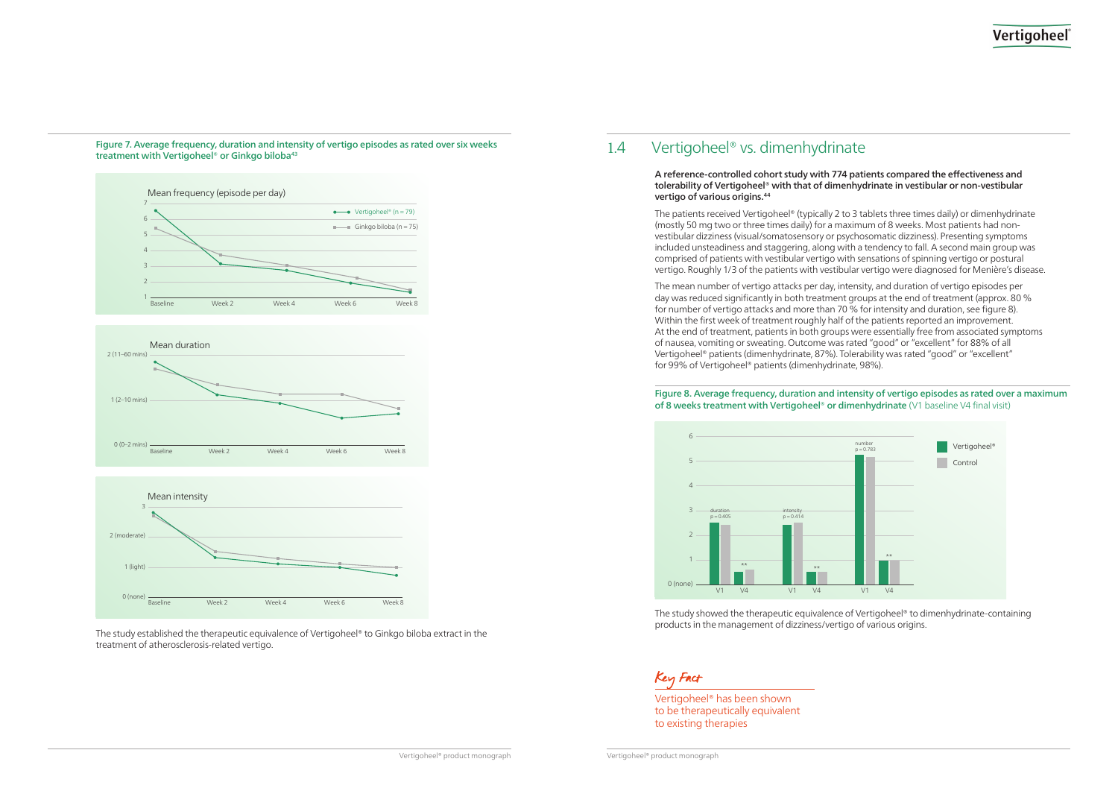## Vertigoheel

Vertigoheel® has been shown to be therapeutically equivalent to existing therapies

Figure 7. Average frequency, duration and intensity of vertigo episodes as rated over six weeks



treatment with Vertigoheel® or Ginkgo biloba<sup>43</sup>





The study established the therapeutic equivalence of Vertigoheel® to Ginkgo biloba extract in the treatment of atherosclerosis-related vertigo.

### 1.4 Vertigoheel<sup>®</sup> vs. dimenhydrinate

#### A reference-controlled cohort study with 774 patients compared the effectiveness and tolerability of Vertigoheel® with that of dimenhydrinate in vestibular or non-vestibular vertigo of various origins.44

The patients received Vertigoheel® (typically 2 to 3 tablets three times daily) or dimenhydrinate (mostly 50 mg two or three times daily) for a maximum of 8 weeks. Most patients had nonvestibular dizziness (visual/somatosensory or psychosomatic dizziness). Presenting symptoms included unsteadiness and staggering, along with a tendency to fall. A second main group was comprised of patients with vestibular vertigo with sensations of spinning vertigo or postural vertigo. Roughly 1/3 of the patients with vestibular vertigo were diagnosed for Menière's disease.

The mean number of vertigo attacks per day, intensity, and duration of vertigo episodes per day was reduced significantly in both treatment groups at the end of treatment (approx. 80 % for number of vertigo attacks and more than 70 % for intensity and duration, see figure 8). Within the first week of treatment roughly half of the patients reported an improvement. At the end of treatment, patients in both groups were essentially free from associated symptoms of nausea, vomiting or sweating. Outcome was rated "good" or "excellent" for 88% of all Vertigoheel® patients (dimenhydrinate, 87%). Tolerability was rated "good" or "excellent" for 99% of Vertigoheel® patients (dimenhydrinate, 98%).

### Figure 8. Average frequency, duration and intensity of vertigo episodes as rated over a maximum of 8 weeks treatment with Vertigoheel® or dimenhydrinate (V1 baseline V4 final visit)



The study showed the therapeutic equivalence of Vertigoheel® to dimenhydrinate-containing products in the management of dizziness/vertigo of various origins.

### Key Fact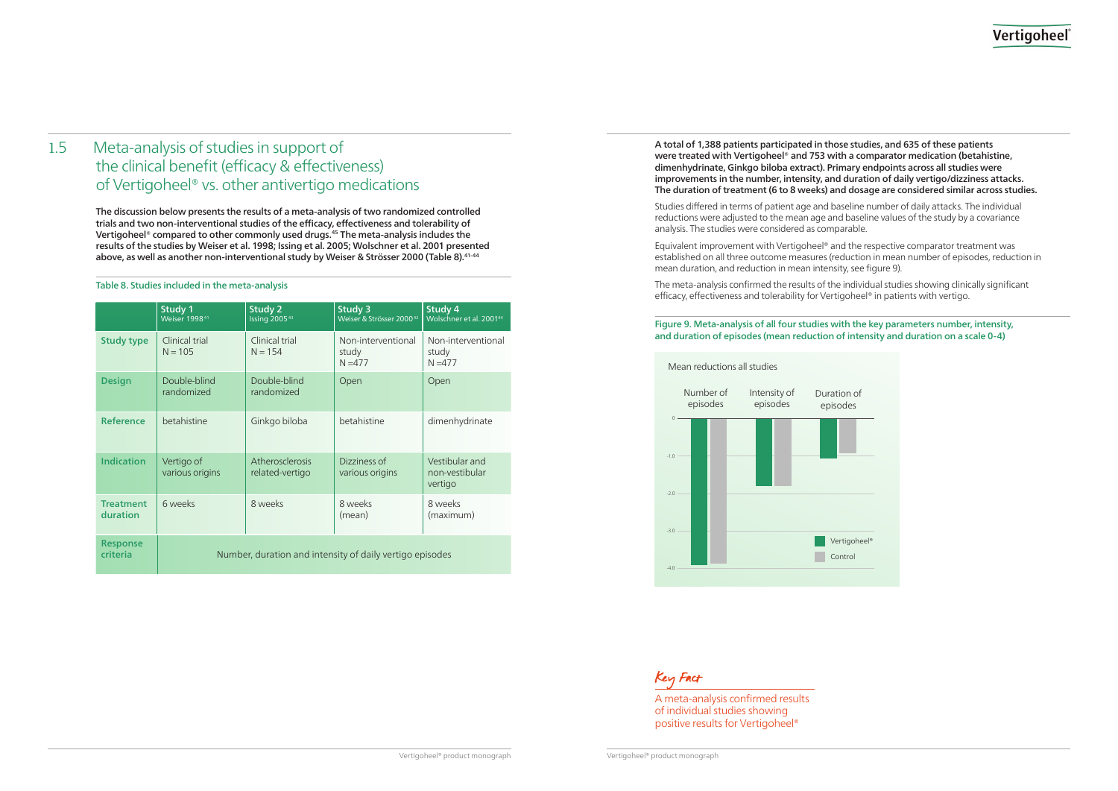## Vertigoheel

| on of<br>des |  |
|--------------|--|
|              |  |
|              |  |
|              |  |
|              |  |
| igoheel®     |  |
| trol         |  |
|              |  |

A meta-analysis confirmed results of individual studies showing positive results for Vertigoheel®

The discussion below presents the results of a meta-analysis of two randomized controlled trials and two non-interventional studies of the efficacy, effectiveness and tolerability of Vertigoheel® compared to other commonly used drugs.45 The meta-analysis includes the results of the studies by Weiser et al. 1998; Issing et al. 2005; Wolschner et al. 2001 presented above, as well as another non-interventional study by Weiser & Strösser 2000 (Table 8).<sup>41-44</sup>

## 1.5 Meta-analysis of studies in support of the clinical benefit (efficacy & effectiveness) of Vertigoheel® vs. other antivertigo medications

#### Table 8. Studies included in the meta-analysis

|                              | <b>Study 1</b><br>Weiser 1998 <sup>41</sup>              | Study 2<br>Issing 2005 <sup>43</sup> | Study 3<br>Weiser & Strösser 2000 <sup>42</sup> | Study 4<br>Wolschner et al. 2001 <sup>44</sup> |  |
|------------------------------|----------------------------------------------------------|--------------------------------------|-------------------------------------------------|------------------------------------------------|--|
| <b>Study type</b>            | Clinical trial<br>$N = 105$                              | Clinical trial<br>$N = 154$          | Non-interventional<br>study<br>$N = 477$        | Non-interventional<br>study<br>$N = 477$       |  |
| <b>Design</b>                | Double-blind<br>randomized                               | Double-blind<br>randomized           | Open                                            | Open                                           |  |
| <b>Reference</b>             | betahistine                                              | Ginkgo biloba                        | betahistine                                     | dimenhydrinate                                 |  |
| <b>Indication</b>            | Vertigo of<br>various origins                            | Atherosclerosis<br>related-vertigo   | Dizziness of<br>various origins                 | Vestibular and<br>non-vestibular<br>vertigo    |  |
| <b>Treatment</b><br>duration | 6 weeks                                                  | 8 weeks                              | 8 weeks<br>(mean)                               | 8 weeks<br>(maximum)                           |  |
| <b>Response</b><br>criteria  | Number, duration and intensity of daily vertigo episodes |                                      |                                                 |                                                |  |

A total of 1,388 patients participated in those studies, and 635 of these patients were treated with Vertigoheel<sup>®</sup> and 753 with a comparator medication (betahistine, dimenhydrinate, Ginkgo biloba extract). Primary endpoints across all studies were improvements in the number, intensity, and duration of daily vertigo/dizziness attacks. The duration of treatment (6 to 8 weeks) and dosage are considered similar across studies.

Studies differed in terms of patient age and baseline number of daily attacks. The individual reductions were adjusted to the mean age and baseline values of the study by a covariance analysis. The studies were considered as comparable.

Equivalent improvement with Vertigoheel® and the respective comparator treatment was established on all three outcome measures (reduction in mean number of episodes, reduction in mean duration, and reduction in mean intensity, see figure 9).

The meta-analysis confirmed the results of the individual studies showing clinically significant efficacy, effectiveness and tolerability for Vertigoheel® in patients with vertigo.

#### Figure 9. Meta-analysis of all four studies with the key parameters number, intensity, and duration of episodes (mean reduction of intensity and duration on a scale 0-4)

### Mean reductions all studies



Key Fact